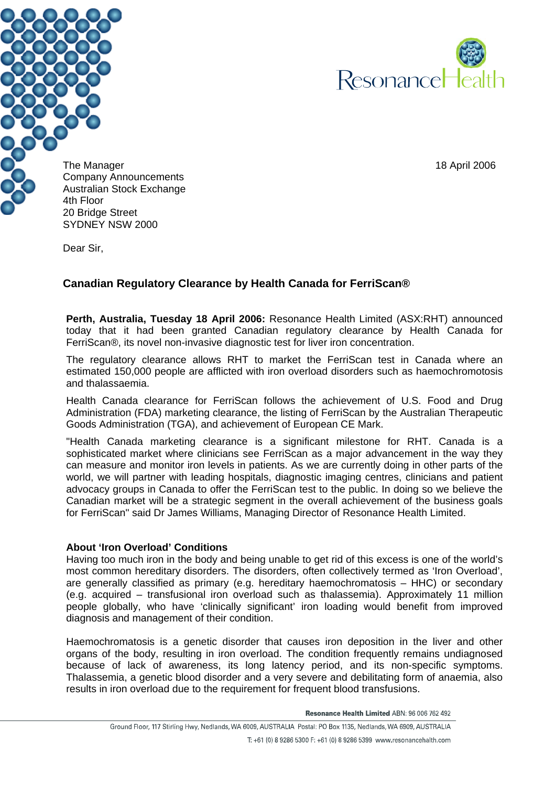



The Manager 18 April 2006 18 April 2006 18 April 2006 18 April 2006 Company Announcements Australian Stock Exchange 20 Bridge Street SYDNEY NSW 2000

Dear Sir,

## **Canadian Regulatory Clearance by Health Canada for FerriScan®**

**Perth, Australia, Tuesday 18 April 2006:** Resonance Health Limited (ASX:RHT) announced today that it had been granted Canadian regulatory clearance by Health Canada for FerriScan®, its novel non-invasive diagnostic test for liver iron concentration.

The regulatory clearance allows RHT to market the FerriScan test in Canada where an estimated 150,000 people are afflicted with iron overload disorders such as haemochromotosis and thalassaemia.

Health Canada clearance for FerriScan follows the achievement of U.S. Food and Drug Administration (FDA) marketing clearance, the listing of FerriScan by the Australian Therapeutic Goods Administration (TGA), and achievement of European CE Mark.

"Health Canada marketing clearance is a significant milestone for RHT. Canada is a sophisticated market where clinicians see FerriScan as a major advancement in the way they can measure and monitor iron levels in patients. As we are currently doing in other parts of the world, we will partner with leading hospitals, diagnostic imaging centres, clinicians and patient advocacy groups in Canada to offer the FerriScan test to the public. In doing so we believe the Canadian market will be a strategic segment in the overall achievement of the business goals for FerriScan" said Dr James Williams, Managing Director of Resonance Health Limited.

## **About 'Iron Overload' Conditions**

Having too much iron in the body and being unable to get rid of this excess is one of the world's most common hereditary disorders. The disorders, often collectively termed as 'Iron Overload', are generally classified as primary (e.g. hereditary haemochromatosis – HHC) or secondary (e.g. acquired – transfusional iron overload such as thalassemia). Approximately 11 million people globally, who have 'clinically significant' iron loading would benefit from improved diagnosis and management of their condition.

Haemochromatosis is a genetic disorder that causes iron deposition in the liver and other organs of the body, resulting in iron overload. The condition frequently remains undiagnosed because of lack of awareness, its long latency period, and its non-specific symptoms. Thalassemia, a genetic blood disorder and a very severe and debilitating form of anaemia, also results in iron overload due to the requirement for frequent blood transfusions.

Resonance Health Limited ABN: 96 006 762 492